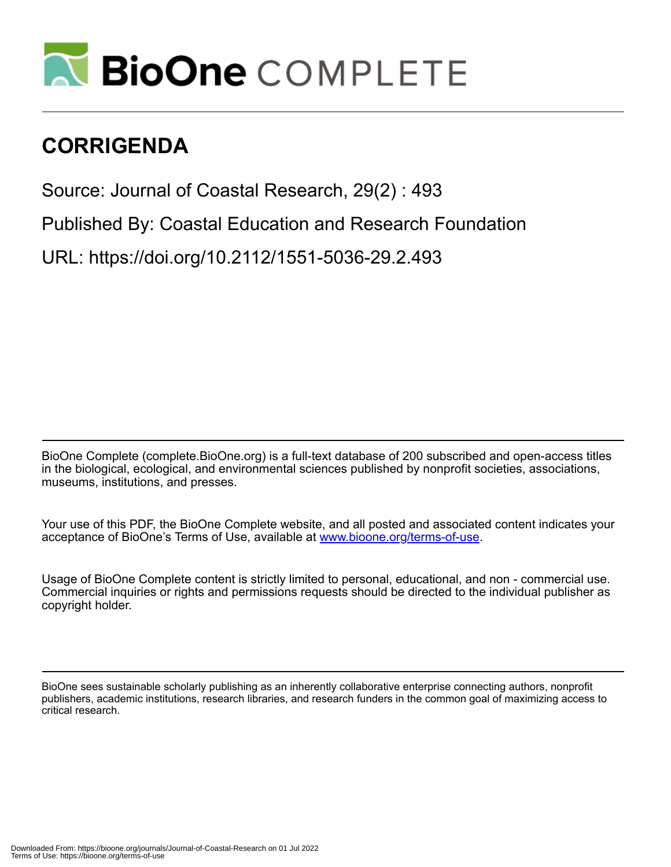

## **CORRIGENDA**

Source: Journal of Coastal Research, 29(2) : 493

Published By: Coastal Education and Research Foundation

URL: https://doi.org/10.2112/1551-5036-29.2.493

BioOne Complete (complete.BioOne.org) is a full-text database of 200 subscribed and open-access titles in the biological, ecological, and environmental sciences published by nonprofit societies, associations, museums, institutions, and presses.

Your use of this PDF, the BioOne Complete website, and all posted and associated content indicates your acceptance of BioOne's Terms of Use, available at www.bioone.org/terms-of-use.

Usage of BioOne Complete content is strictly limited to personal, educational, and non - commercial use. Commercial inquiries or rights and permissions requests should be directed to the individual publisher as copyright holder.

BioOne sees sustainable scholarly publishing as an inherently collaborative enterprise connecting authors, nonprofit publishers, academic institutions, research libraries, and research funders in the common goal of maximizing access to critical research.